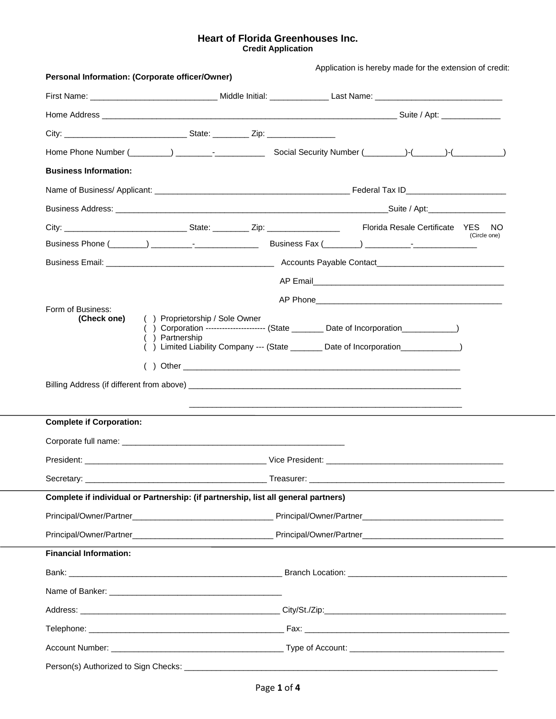# **Heart of Florida Greenhouses Inc. Credit Application**

|                                 | Personal Information: (Corporate officer/Owner)                                    | Application is hereby made for the extension of credit:                                                                                                                                                                        |              |  |  |  |
|---------------------------------|------------------------------------------------------------------------------------|--------------------------------------------------------------------------------------------------------------------------------------------------------------------------------------------------------------------------------|--------------|--|--|--|
|                                 |                                                                                    |                                                                                                                                                                                                                                |              |  |  |  |
|                                 |                                                                                    |                                                                                                                                                                                                                                |              |  |  |  |
|                                 |                                                                                    |                                                                                                                                                                                                                                |              |  |  |  |
|                                 |                                                                                    |                                                                                                                                                                                                                                |              |  |  |  |
| <b>Business Information:</b>    |                                                                                    |                                                                                                                                                                                                                                |              |  |  |  |
|                                 |                                                                                    |                                                                                                                                                                                                                                |              |  |  |  |
|                                 |                                                                                    |                                                                                                                                                                                                                                |              |  |  |  |
|                                 |                                                                                    |                                                                                                                                                                                                                                | NO.          |  |  |  |
|                                 |                                                                                    | Business Phone (Change Company of Change Company of Change Company of Change Company of Change Company of Change Company of Change Company of Change Company of Change Company of Change Company of Change Company of Change C | (Circle one) |  |  |  |
|                                 |                                                                                    |                                                                                                                                                                                                                                |              |  |  |  |
|                                 |                                                                                    |                                                                                                                                                                                                                                |              |  |  |  |
| Form of Business:               |                                                                                    |                                                                                                                                                                                                                                |              |  |  |  |
| (Check one)                     | () Proprietorship / Sole Owner<br>() Partnership                                   | () Corporation ----------------------- (State _________ Date of Incorporation ____________)<br>) Limited Liability Company --- (State _______ Date of Incorporation ___________                                                |              |  |  |  |
|                                 |                                                                                    |                                                                                                                                                                                                                                |              |  |  |  |
| <b>Complete if Corporation:</b> |                                                                                    |                                                                                                                                                                                                                                |              |  |  |  |
|                                 |                                                                                    |                                                                                                                                                                                                                                |              |  |  |  |
|                                 |                                                                                    |                                                                                                                                                                                                                                |              |  |  |  |
|                                 |                                                                                    |                                                                                                                                                                                                                                |              |  |  |  |
|                                 | Complete if individual or Partnership: (if partnership, list all general partners) |                                                                                                                                                                                                                                |              |  |  |  |
|                                 |                                                                                    |                                                                                                                                                                                                                                |              |  |  |  |
|                                 |                                                                                    |                                                                                                                                                                                                                                |              |  |  |  |
| <b>Financial Information:</b>   |                                                                                    |                                                                                                                                                                                                                                |              |  |  |  |
|                                 |                                                                                    |                                                                                                                                                                                                                                |              |  |  |  |
|                                 |                                                                                    |                                                                                                                                                                                                                                |              |  |  |  |
|                                 |                                                                                    |                                                                                                                                                                                                                                |              |  |  |  |
|                                 |                                                                                    |                                                                                                                                                                                                                                |              |  |  |  |
|                                 |                                                                                    |                                                                                                                                                                                                                                |              |  |  |  |
|                                 |                                                                                    |                                                                                                                                                                                                                                |              |  |  |  |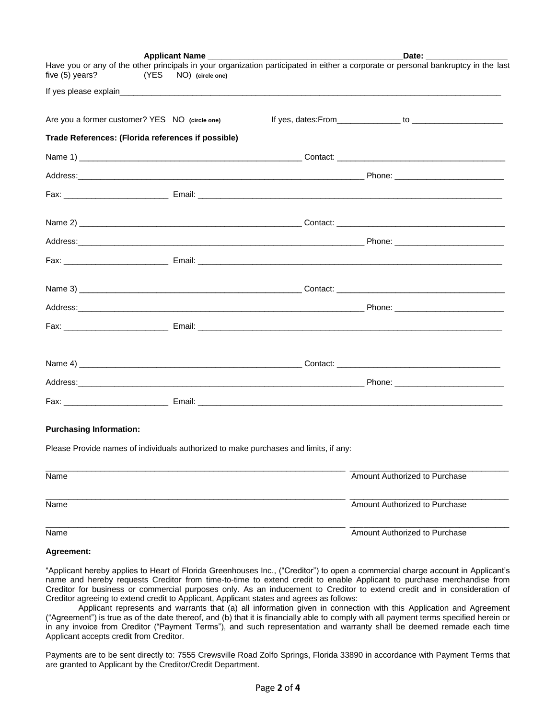|                                                                                                                                                                                   | Applicant Name |  | Date: <b>Date</b>             |  |  |  |
|-----------------------------------------------------------------------------------------------------------------------------------------------------------------------------------|----------------|--|-------------------------------|--|--|--|
| Have you or any of the other principals in your organization participated in either a corporate or personal bankruptcy in the last<br>five (5) years?<br>(YES<br>NO) (circle one) |                |  |                               |  |  |  |
|                                                                                                                                                                                   |                |  |                               |  |  |  |
|                                                                                                                                                                                   |                |  |                               |  |  |  |
| Are you a former customer? YES NO (circle one)                                                                                                                                    |                |  |                               |  |  |  |
| Trade References: (Florida references if possible)                                                                                                                                |                |  |                               |  |  |  |
|                                                                                                                                                                                   |                |  |                               |  |  |  |
|                                                                                                                                                                                   |                |  |                               |  |  |  |
|                                                                                                                                                                                   |                |  |                               |  |  |  |
|                                                                                                                                                                                   |                |  |                               |  |  |  |
|                                                                                                                                                                                   |                |  |                               |  |  |  |
|                                                                                                                                                                                   |                |  |                               |  |  |  |
|                                                                                                                                                                                   |                |  |                               |  |  |  |
|                                                                                                                                                                                   |                |  |                               |  |  |  |
|                                                                                                                                                                                   |                |  |                               |  |  |  |
|                                                                                                                                                                                   |                |  |                               |  |  |  |
|                                                                                                                                                                                   |                |  |                               |  |  |  |
|                                                                                                                                                                                   |                |  |                               |  |  |  |
|                                                                                                                                                                                   |                |  |                               |  |  |  |
|                                                                                                                                                                                   |                |  |                               |  |  |  |
|                                                                                                                                                                                   |                |  |                               |  |  |  |
|                                                                                                                                                                                   |                |  |                               |  |  |  |
| <b>Purchasing Information:</b>                                                                                                                                                    |                |  |                               |  |  |  |
| Please Provide names of individuals authorized to make purchases and limits, if any:                                                                                              |                |  |                               |  |  |  |
|                                                                                                                                                                                   |                |  |                               |  |  |  |
| Name                                                                                                                                                                              |                |  | Amount Authorized to Purchase |  |  |  |
|                                                                                                                                                                                   |                |  |                               |  |  |  |
|                                                                                                                                                                                   |                |  |                               |  |  |  |

Name **Amount Authorized to Purchase** Amount Authorized to Purchase

### **Agreement:**

"Applicant hereby applies to Heart of Florida Greenhouses Inc., ("Creditor") to open a commercial charge account in Applicant's name and hereby requests Creditor from time-to-time to extend credit to enable Applicant to purchase merchandise from Creditor for business or commercial purposes only. As an inducement to Creditor to extend credit and in consideration of Creditor agreeing to extend credit to Applicant, Applicant states and agrees as follows:

\_\_\_\_\_\_\_\_\_\_\_\_\_\_\_\_\_\_\_\_\_\_\_\_\_\_\_\_\_\_\_\_\_\_\_\_\_\_\_\_\_\_\_\_\_\_\_\_\_\_\_\_\_\_\_\_\_\_\_\_\_\_\_\_\_\_ \_\_\_\_\_\_\_\_\_\_\_\_\_\_\_\_\_\_\_\_\_\_\_\_\_\_\_\_\_\_\_\_\_\_\_

Name Amount Authorized to Purchase

Applicant represents and warrants that (a) all information given in connection with this Application and Agreement ("Agreement") is true as of the date thereof, and (b) that it is financially able to comply with all payment terms specified herein or in any invoice from Creditor ("Payment Terms"), and such representation and warranty shall be deemed remade each time Applicant accepts credit from Creditor.

Payments are to be sent directly to: 7555 Crewsville Road Zolfo Springs, Florida 33890 in accordance with Payment Terms that are granted to Applicant by the Creditor/Credit Department.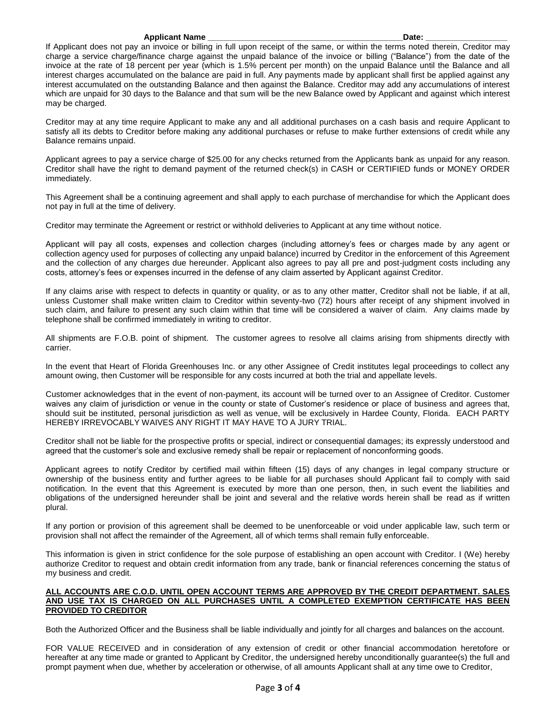#### **Applicant Name \_\_\_\_\_\_\_\_\_\_\_\_\_\_\_\_\_\_\_\_\_\_\_\_\_\_\_\_\_\_\_\_\_\_\_\_\_\_\_\_\_\_\_Date: \_\_\_\_\_\_\_\_\_\_\_\_\_\_\_\_\_\_**

If Applicant does not pay an invoice or billing in full upon receipt of the same, or within the terms noted therein, Creditor may charge a service charge/finance charge against the unpaid balance of the invoice or billing ("Balance") from the date of the invoice at the rate of 18 percent per year (which is 1.5% percent per month) on the unpaid Balance until the Balance and all interest charges accumulated on the balance are paid in full. Any payments made by applicant shall first be applied against any interest accumulated on the outstanding Balance and then against the Balance. Creditor may add any accumulations of interest which are unpaid for 30 days to the Balance and that sum will be the new Balance owed by Applicant and against which interest may be charged.

Creditor may at any time require Applicant to make any and all additional purchases on a cash basis and require Applicant to satisfy all its debts to Creditor before making any additional purchases or refuse to make further extensions of credit while any Balance remains unpaid.

Applicant agrees to pay a service charge of \$25.00 for any checks returned from the Applicants bank as unpaid for any reason. Creditor shall have the right to demand payment of the returned check(s) in CASH or CERTIFIED funds or MONEY ORDER immediately.

This Agreement shall be a continuing agreement and shall apply to each purchase of merchandise for which the Applicant does not pay in full at the time of delivery.

Creditor may terminate the Agreement or restrict or withhold deliveries to Applicant at any time without notice.

Applicant will pay all costs, expenses and collection charges (including attorney's fees or charges made by any agent or collection agency used for purposes of collecting any unpaid balance) incurred by Creditor in the enforcement of this Agreement and the collection of any charges due hereunder. Applicant also agrees to pay all pre and post-judgment costs including any costs, attorney's fees or expenses incurred in the defense of any claim asserted by Applicant against Creditor.

If any claims arise with respect to defects in quantity or quality, or as to any other matter, Creditor shall not be liable, if at all, unless Customer shall make written claim to Creditor within seventy-two (72) hours after receipt of any shipment involved in such claim, and failure to present any such claim within that time will be considered a waiver of claim. Any claims made by telephone shall be confirmed immediately in writing to creditor.

All shipments are F.O.B. point of shipment. The customer agrees to resolve all claims arising from shipments directly with carrier.

In the event that Heart of Florida Greenhouses Inc. or any other Assignee of Credit institutes legal proceedings to collect any amount owing, then Customer will be responsible for any costs incurred at both the trial and appellate levels.

Customer acknowledges that in the event of non-payment, its account will be turned over to an Assignee of Creditor. Customer waives any claim of jurisdiction or venue in the county or state of Customer's residence or place of business and agrees that, should suit be instituted, personal jurisdiction as well as venue, will be exclusively in Hardee County, Florida. EACH PARTY HEREBY IRREVOCABLY WAIVES ANY RIGHT IT MAY HAVE TO A JURY TRIAL.

Creditor shall not be liable for the prospective profits or special, indirect or consequential damages; its expressly understood and agreed that the customer's sole and exclusive remedy shall be repair or replacement of nonconforming goods.

Applicant agrees to notify Creditor by certified mail within fifteen (15) days of any changes in legal company structure or ownership of the business entity and further agrees to be liable for all purchases should Applicant fail to comply with said notification. In the event that this Agreement is executed by more than one person, then, in such event the liabilities and obligations of the undersigned hereunder shall be joint and several and the relative words herein shall be read as if written plural.

If any portion or provision of this agreement shall be deemed to be unenforceable or void under applicable law, such term or provision shall not affect the remainder of the Agreement, all of which terms shall remain fully enforceable.

This information is given in strict confidence for the sole purpose of establishing an open account with Creditor. I (We) hereby authorize Creditor to request and obtain credit information from any trade, bank or financial references concerning the status of my business and credit.

### **ALL ACCOUNTS ARE C.O.D. UNTIL OPEN ACCOUNT TERMS ARE APPROVED BY THE CREDIT DEPARTMENT. SALES AND USE TAX IS CHARGED ON ALL PURCHASES UNTIL A COMPLETED EXEMPTION CERTIFICATE HAS BEEN PROVIDED TO CREDITOR**

Both the Authorized Officer and the Business shall be liable individually and jointly for all charges and balances on the account.

FOR VALUE RECEIVED and in consideration of any extension of credit or other financial accommodation heretofore or hereafter at any time made or granted to Applicant by Creditor, the undersigned hereby unconditionally guarantee(s) the full and prompt payment when due, whether by acceleration or otherwise, of all amounts Applicant shall at any time owe to Creditor,